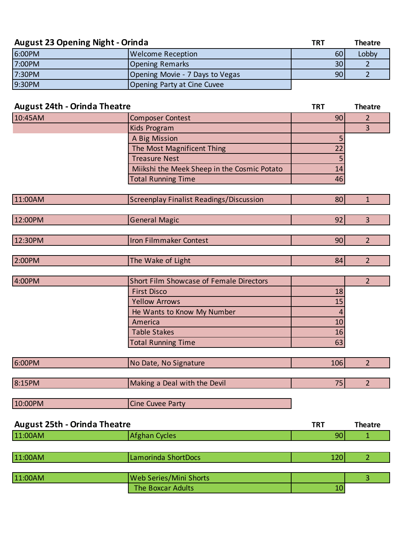| <b>August 23 Opening Night - Orinda</b> |                                 | <b>TRT</b> | <b>Theatre</b> |
|-----------------------------------------|---------------------------------|------------|----------------|
| 6:00PM                                  | <b>Welcome Reception</b>        | 60         | Lobby          |
| 7:00PM                                  | <b>Opening Remarks</b>          | 30         |                |
| 7:30PM                                  | Opening Movie - 7 Days to Vegas | 90         |                |
| 9:30PM                                  | Opening Party at Cine Cuvee     |            |                |

| <b>August 24th - Orinda Theatre</b> |                                                | <b>TRT</b> | <b>Theatre</b> |
|-------------------------------------|------------------------------------------------|------------|----------------|
| 10:45AM                             | <b>Composer Contest</b>                        | 90         | $\overline{2}$ |
|                                     | Kids Program                                   |            | $\overline{3}$ |
|                                     | A Big Mission                                  | 5          |                |
|                                     | The Most Magnificent Thing                     | 22         |                |
|                                     | <b>Treasure Nest</b>                           | 5          |                |
|                                     | Miikshi the Meek Sheep in the Cosmic Potato    | 14         |                |
|                                     | <b>Total Running Time</b>                      | 46         |                |
|                                     |                                                |            |                |
| 11:00AM                             | <b>Screenplay Finalist Readings/Discussion</b> | 80         | $\mathbf{1}$   |
|                                     |                                                |            |                |
| 12:00PM                             | <b>General Magic</b>                           | 92         | 3              |
|                                     |                                                |            |                |
| 12:30PM                             | Iron Filmmaker Contest                         | 90         | $\overline{2}$ |
|                                     |                                                |            |                |
| 2:00PM                              | The Wake of Light                              | 84         | $\overline{2}$ |
|                                     |                                                |            |                |
| 4:00PM                              | Short Film Showcase of Female Directors        |            | $\overline{2}$ |
|                                     | <b>First Disco</b>                             | 18         |                |
|                                     | <b>Yellow Arrows</b>                           | 15         |                |
|                                     | He Wants to Know My Number                     | 4          |                |
|                                     | America                                        | 10         |                |
|                                     | <b>Table Stakes</b>                            | 16         |                |
|                                     | <b>Total Running Time</b>                      | 63         |                |
|                                     |                                                |            |                |
| 6:00PM                              | No Date, No Signature                          | 106        | $\overline{2}$ |
|                                     |                                                |            |                |
| 8:15PM                              | Making a Deal with the Devil                   | 75         | $\overline{2}$ |
|                                     |                                                |            |                |
| 10:00PM                             | <b>Cine Cuvee Party</b>                        |            |                |
|                                     |                                                |            |                |
| <b>August 25th - Orinda Theatre</b> |                                                | <b>TRT</b> | <b>Theatre</b> |
| 11:00AM                             | <b>Afghan Cycles</b>                           | 90         | $\mathbf{1}$   |
|                                     |                                                |            |                |
| 11:00AM                             | Lamorinda ShortDocs                            | 120        | $\overline{2}$ |
|                                     |                                                |            |                |
| 11:00AM                             | Web Series/Mini Shorts                         |            | 3              |

The Boxcar Adults 10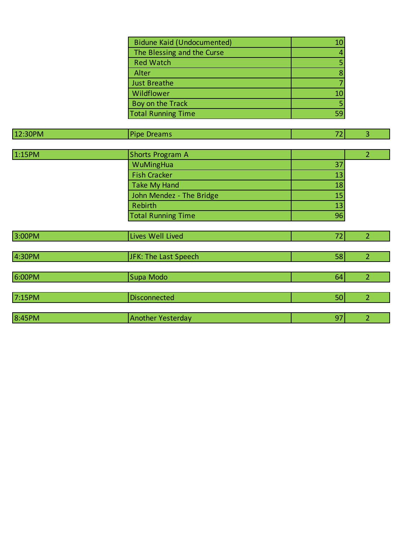| Bidune Kaid (Undocumented) |    |
|----------------------------|----|
| The Blessing and the Curse |    |
| <b>Red Watch</b>           |    |
| Alter                      |    |
| <b>Just Breathe</b>        |    |
| Wildflower                 | 10 |
| Boy on the Track           |    |
| <b>Total Running Time</b>  |    |

| 12:30PM | <b>Pipe Dreams</b>        | 72 | 3              |
|---------|---------------------------|----|----------------|
|         |                           |    |                |
| 1:15PM  | <b>Shorts Program A</b>   |    | $\overline{2}$ |
|         | WuMingHua                 | 37 |                |
|         | <b>Fish Cracker</b>       | 13 |                |
|         | <b>Take My Hand</b>       | 18 |                |
|         | John Mendez - The Bridge  | 15 |                |
|         | <b>Rebirth</b>            | 13 |                |
|         | <b>Total Running Time</b> | 96 |                |
|         |                           |    |                |
| 3:00PM  | Lives Well Lived          | 72 | $\overline{2}$ |
|         |                           |    |                |
| 4:30PM  | JFK: The Last Speech      | 58 | $\overline{2}$ |
|         |                           |    |                |
| 6:00PM  | Supa Modo                 | 64 | $\overline{2}$ |
|         |                           |    |                |
| 7:15PM  | <b>Disconnected</b>       | 50 | $\overline{2}$ |
|         |                           |    |                |
| 8:45PM  | <b>Another Yesterday</b>  | 97 | $\overline{2}$ |
|         |                           |    |                |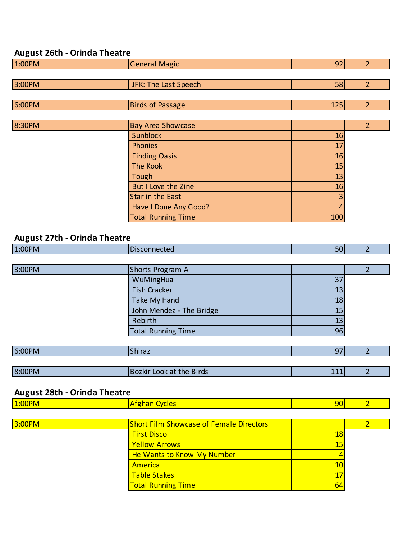## **August 26th - Orinda Theatre**

| 1:00PM | General Magic        | 92  |  |
|--------|----------------------|-----|--|
|        |                      |     |  |
| 3:00PM | JFK: The Last Speech | 58  |  |
|        |                      |     |  |
| 6:00PM | Birds of Passage     | 125 |  |

| 8:30PM | <b>Bay Area Showcase</b>  |     |  |
|--------|---------------------------|-----|--|
|        | Sunblock                  | 16  |  |
|        | <b>Phonies</b>            | 17  |  |
|        | <b>Finding Oasis</b>      | 16  |  |
|        | The Kook                  | 15  |  |
|        | Tough                     | 13  |  |
|        | But I Love the Zine       | 16  |  |
|        | <b>Star in the East</b>   |     |  |
|        | Have I Done Any Good?     |     |  |
|        | <b>Total Running Time</b> | 100 |  |

# **August 27th - Orinda Theatre**

| 1:00PM | Disconnected              | 50 <sub>1</sub> | ำ |
|--------|---------------------------|-----------------|---|
|        |                           |                 |   |
| 3:00PM | Shorts Program A          |                 |   |
|        | WuMingHua                 | 37              |   |
|        | <b>Fish Cracker</b>       | 13              |   |
|        | Take My Hand              | 18              |   |
|        | John Mendez - The Bridge  | 15              |   |
|        | Rebirth                   | 13              |   |
|        | <b>Total Running Time</b> | 96              |   |
|        |                           |                 |   |
| 6:00PM | Shiraz                    | 97              |   |
|        |                           |                 |   |

| 8:00PM | Look at the Birds<br>l Bozkir | 444<br>---- |  |
|--------|-------------------------------|-------------|--|
|        |                               |             |  |

### **August 28th - Orinda Theatre**

| 1:00PM | <b>Afghan Cycles</b>                           | 90 |  |
|--------|------------------------------------------------|----|--|
|        |                                                |    |  |
| 3:00PM | <b>Short Film Showcase of Female Directors</b> |    |  |
|        | <b>First Disco</b>                             | 18 |  |
|        | <b>Yellow Arrows</b>                           | 15 |  |
|        | He Wants to Know My Number                     |    |  |
|        | America                                        | 10 |  |
|        | <b>Table Stakes</b>                            | 17 |  |
|        | <b>Total Running Time</b>                      | 64 |  |